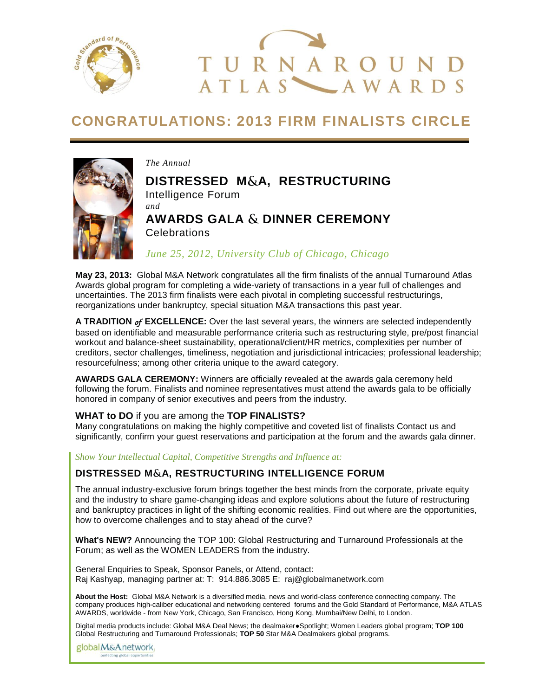



## **CONGRATULATIONS: 2013 FIRM FINALISTS CIRCLE**



*The Annual*

# **DISTRESSED M&A, RESTRUCTURING**

Intelligence Forum *and*

## **AWARDS GALA & DINNER CEREMONY Celebrations**

*June 25, 2012, University Club of Chicago, Chicago*

**May 23, 2013:** Global M&A Network congratulates all the firm finalists of the annual Turnaround Atlas Awards global program for completing a wide-variety of transactions in a year full of challenges and uncertainties. The 2013 firm finalists were each pivotal in completing successful restructurings, reorganizations under bankruptcy, special situation M&A transactions this past year.

**A TRADITION** *of* **EXCELLENCE:** Over the last several years, the winners are selected independently based on identifiable and measurable performance criteria such as restructuring style, pre/post financial workout and balance-sheet sustainability, operational/client/HR metrics, complexities per number of creditors, sector challenges, timeliness, negotiation and jurisdictional intricacies; professional leadership; resourcefulness; among other criteria unique to the award category.

**AWARDS GALA CEREMONY:** Winners are officially revealed at the awards gala ceremony held following the forum. Finalists and nominee representatives must attend the awards gala to be officially honored in company of senior executives and peers from the industry.

## **WHAT to DO** if you are among the **TOP FINALISTS?**

Many congratulations on making the highly competitive and coveted list of finalists Contact us and significantly, confirm your guest reservations and participation at the forum and the awards gala dinner.

## *Show Your Intellectual Capital, Competitive Strengths and Influence at:*

## **DISTRESSED M A, RESTRUCTURING INTELLIGENCE FORUM**

The annual industry-exclusive forum brings together the best minds from the corporate, private equity and the industry to share game-changing ideas and explore solutions about the future of restructuring and bankruptcy practices in light of the shifting economic realities. Find out where are the opportunities, how to overcome challenges and to stay ahead of the curve?

**What's NEW?** Announcing the TOP 100: Global Restructuring and Turnaround Professionals at the Forum; as well as the WOMEN LEADERS from the industry.

General Enquiries to Speak, Sponsor Panels, or Attend, contact: Raj Kashyap, managing partner at: T: 914.886.3085 E: raj@globalmanetwork.com

**About the Host:** Global M&A Network is a diversified media, news and world-class conference connecting company. The company produces high-caliber educational and networking centered forums and the Gold Standard of Performance, M&A ATLAS AWARDS, worldwide - from New York, Chicago, San Francisco, Hong Kong, Mumbai/New Delhi, to London.

Digital media products include: Global M&A Deal News; the dealmaker●Spotlight; Women Leaders global program; **TOP 100**  Global Restructuring and Turnaround Professionals; **TOP 50** Star M&A Dealmakers global programs.

global M&Anetwork perfecting global opportunities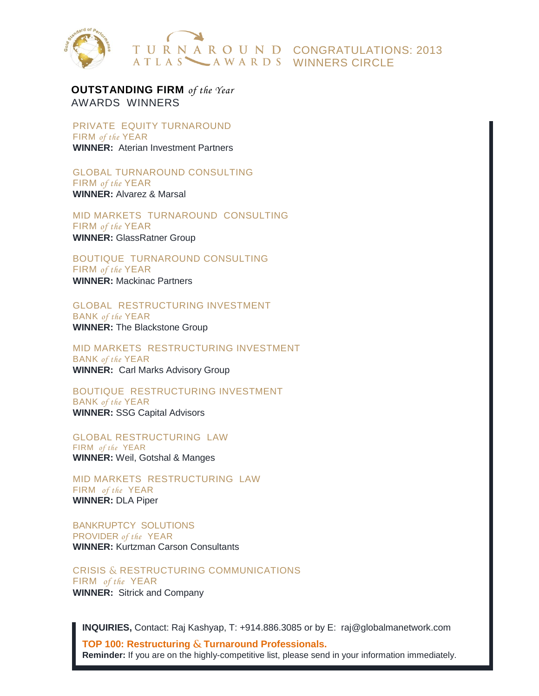

**OUTSTANDING FIRM** *of the Year* AWARDS WINNERS

PRIVATE EQUITY TURNAROUND FIRM *of the* YEAR **WINNER:** Aterian Investment Partners

GLOBAL TURNAROUND CONSULTING FIRM *of the* YEAR

**WINNER:** Alvarez & Marsal

MID MARKETS TURNAROUND CONSULTING FIRM *of the* YEAR **WINNER:** GlassRatner Group

BOUTIQUE TURNAROUND CONSULTING

FIRM *of the* YEAR **WINNER:** Mackinac Partners

GLOBAL RESTRUCTURING INVESTMENT BANK *of the* YEAR

**WINNER:** The Blackstone Group

MID MARKETS RESTRUCTURING INVESTMENT BANK *of the* YEAR **WINNER:** Carl Marks Advisory Group

BOUTIQUE RESTRUCTURING INVESTMENT BANK *of the* YEAR **WINNER:** SSG Capital Advisors

GLOBAL RESTRUCTURING LAW

FIRM *of the* YEAR **WINNER:** Weil, Gotshal & Manges

MID MARKETS RESTRUCTURING LAW FIRM *of the* YEAR **WINNER:** DLA Piper

BANKRUPTCY SOLUTIONS PROVIDER *of the* YEAR **WINNER:** Kurtzman Carson Consultants

CRISIS & RESTRUCTURING COMMUNICATIONS FIRM *of the* YEAR **WINNER:** Sitrick and Company

 **INQUIRIES,** Contact: Raj Kashyap, T: +914.886.3085 or by E: raj@globalmanetwork.com

**TOP 100: Restructuring & Turnaround Professionals. Reminder:** If you are on the highly-competitive list, please send in your information immediately.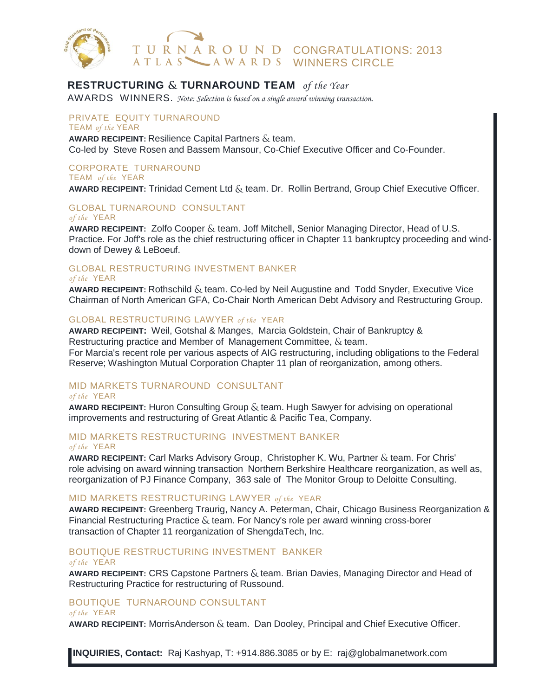

## **RESTRUCTURING & TURNAROUND TEAM** of the Year

AWARDS WINNERS. *Note: Selection is based on a single award winning transaction.*

PRIVATE EQUITY TURNAROUND TEAM *of the* YEAR

**AWARD RECIPEINT:** Resilience Capital Partners  $\&$  team. Co-led by Steve Rosen and Bassem Mansour, Co-Chief Executive Officer and Co-Founder.

#### CORPORATE TURNAROUND TEAM *of the* YEAR

AWARD RECIPEINT: Trinidad Cement Ltd & team. Dr. Rollin Bertrand, Group Chief Executive Officer.

#### GLOBAL TURNAROUND CONSULTANT *of the* YEAR

**AWARD RECIPEINT:** Zolfo Cooper & team. Joff Mitchell, Senior Managing Director, Head of U.S. Practice. For Joff's role as the chief restructuring officer in Chapter 11 bankruptcy proceeding and winddown of Dewey & LeBoeuf.

#### GLOBAL RESTRUCTURING INVESTMENT BANKER *of the* YEAR

AWARD RECIPEINT: Rothschild & team. Co-led by Neil Augustine and Todd Snyder, Executive Vice Chairman of North American GFA, Co-Chair North American Debt Advisory and Restructuring Group.

## GLOBAL RESTRUCTURING LAWYER *of the* YEAR

**AWARD RECIPEINT:** Weil, Gotshal & Manges, Marcia Goldstein, Chair of Bankruptcy & Restructuring practice and Member of Management Committee,  $\&$  team. For Marcia's recent role per various aspects of AIG restructuring, including obligations to the Federal Reserve; Washington Mutual Corporation Chapter 11 plan of reorganization, among others.

## MID MARKETS TURNAROUND CONSULTANT

### *of the* YEAR

AWARD RECIPEINT: Huron Consulting Group & team. Hugh Sawyer for advising on operational improvements and restructuring of Great Atlantic & Pacific Tea, Company.

## MID MARKETS RESTRUCTURING INVESTMENT BANKER

*of the* YEAR

**AWARD RECIPEINT:** Carl Marks Advisory Group, Christopher K. Wu, Partner & team. For Chris' role advising on award winning transaction Northern Berkshire Healthcare reorganization, as well as, reorganization of PJ Finance Company, 363 sale of The Monitor Group to Deloitte Consulting.

### MID MARKETS RESTRUCTURING LAWYER *of the* YEAR

**AWARD RECIPEINT:** Greenberg Traurig, Nancy A. Peterman, Chair, Chicago Business Reorganization & Financial Restructuring Practice  $\&$  team. For Nancy's role per award winning cross-borer transaction of Chapter 11 reorganization of ShengdaTech, Inc.

## BOUTIQUE RESTRUCTURING INVESTMENT BANKER

#### *of the* YEAR

AWARD RECIPEINT: CRS Capstone Partners & team. Brian Davies, Managing Director and Head of Restructuring Practice for restructuring of Russound.

## BOUTIQUE TURNAROUND CONSULTANT

### *of the* YEAR

AWARD RECIPEINT: MorrisAnderson & team. Dan Dooley, Principal and Chief Executive Officer.

**INQUIRIES, Contact:** Raj Kashyap, T: +914.886.3085 or by E: raj@globalmanetwork.com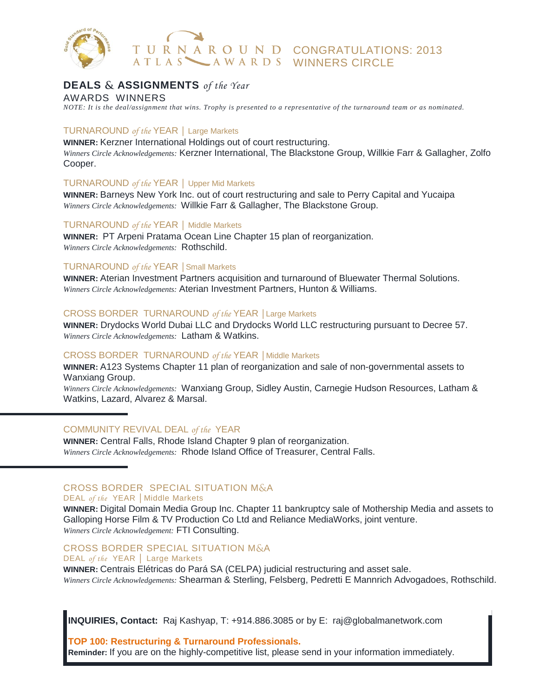

## **DEALS ASSIGNMENTS** *of the Year*

AWARDS WINNERS

*NOTE: It is the deal/assignment that wins. Trophy is presented to a representative of the turnaround team or as nominated.* 

## TURNAROUND *of the* YEAR │ Large Markets

**WINNER:** Kerzner International Holdings out of court restructuring. *Winners Circle Acknowledgements:* Kerzner International, The Blackstone Group, Willkie Farr & Gallagher, Zolfo Cooper.

## TURNAROUND *of the* YEAR │ Upper Mid Markets

**WINNER:** Barneys New York Inc. out of court restructuring and sale to Perry Capital and Yucaipa *Winners Circle Acknowledgements:* Willkie Farr & Gallagher, The Blackstone Group.

### TURNAROUND *of the* YEAR │ Middle Markets

**WINNER:** PT Arpeni Pratama Ocean Line Chapter 15 plan of reorganization. *Winners Circle Acknowledgements:* Rothschild.

### TURNAROUND *of the* YEAR │Small Markets

**WINNER:** Aterian Investment Partners acquisition and turnaround of Bluewater Thermal Solutions. *Winners Circle Acknowledgements:* Aterian Investment Partners, Hunton & Williams.

## CROSS BORDER TURNAROUND *of the* YEAR │Large Markets

**WINNER:** Drydocks World Dubai LLC and Drydocks World LLC restructuring pursuant to Decree 57. *Winners Circle Acknowledgements:* Latham & Watkins.

### CROSS BORDER TURNAROUND *of the* YEAR │Middle Markets

**WINNER:** A123 Systems Chapter 11 plan of reorganization and sale of non-governmental assets to Wanxiang Group.

*Winners Circle Acknowledgements:* Wanxiang Group, Sidley Austin, Carnegie Hudson Resources, Latham & Watkins, Lazard, Alvarez & Marsal.

### COMMUNITY REVIVAL DEAL *of the* YEAR

**WINNER:** Central Falls, Rhode Island Chapter 9 plan of reorganization. *Winners Circle Acknowledgements:* Rhode Island Office of Treasurer, Central Falls.

## CROSS BORDER SPECIAL SITUATION M&A

## DEAL *of the* YEAR │Middle Markets

**WINNER:** Digital Domain Media Group Inc. Chapter 11 bankruptcy sale of Mothership Media and assets to Galloping Horse Film & TV Production Co Ltd and Reliance MediaWorks, joint venture. *Winners Circle Acknowledgement:* FTI Consulting.

#### CROSS BORDER SPECIAL SITUATION M&A DEAL *of the* YEAR │ Large Markets

**WINNER:** Centrais Elétricas do Pará SA (CELPA) judicial restructuring and asset sale. *Winners Circle Acknowledgements:* Shearman & Sterling, Felsberg, Pedretti E Mannrich Advogadoes, Rothschild.

**INQUIRIES, Contact:** Raj Kashyap, T: +914.886.3085 or by E: raj@globalmanetwork.com

**TOP 100: Restructuring & Turnaround Professionals. Reminder:** If you are on the highly-competitive list, please send in your information immediately.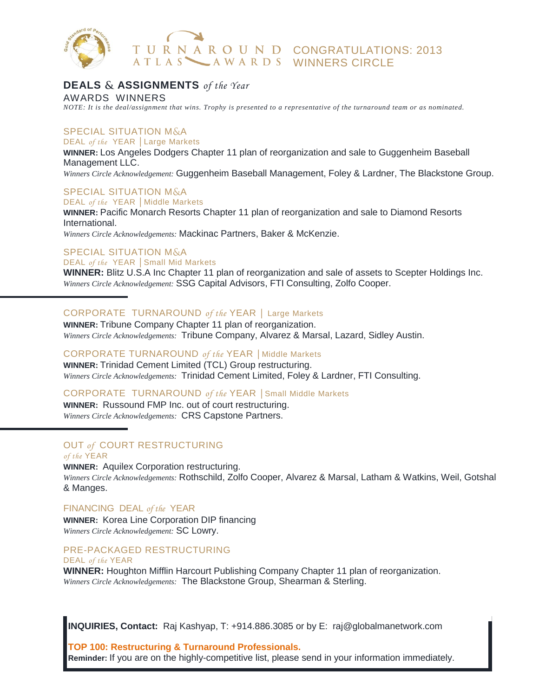

## **DEALS ASSIGNMENTS** *of the Year*

AWARDS WINNERS *NOTE: It is the deal/assignment that wins. Trophy is presented to a representative of the turnaround team or as nominated.* 

## **SPECIAL SITUATION M&A**

DEAL *of the* YEAR │Large Markets

**WINNER:** Los Angeles Dodgers Chapter 11 plan of reorganization and sale to Guggenheim Baseball Management LLC.

*Winners Circle Acknowledgement:* Guggenheim Baseball Management, Foley & Lardner, The Blackstone Group.

## **SPECIAL SITUATION M&A**

DEAL *of the* YEAR │Middle Markets **WINNER:** Pacific Monarch Resorts Chapter 11 plan of reorganization and sale to Diamond Resorts International.

*Winners Circle Acknowledgements:* Mackinac Partners, Baker & McKenzie.

## **SPECIAL SITUATION M&A**

#### DEAL *of the* YEAR │Small Mid Markets

**WINNER:** Blitz U.S.A Inc Chapter 11 plan of reorganization and sale of assets to Scepter Holdings Inc. *Winners Circle Acknowledgement:* SSG Capital Advisors, FTI Consulting, Zolfo Cooper.

## CORPORATE TURNAROUND *of the* YEAR │ Large Markets

**WINNER:** Tribune Company Chapter 11 plan of reorganization. *Winners Circle Acknowledgements:* Tribune Company, Alvarez & Marsal, Lazard, Sidley Austin.

## CORPORATE TURNAROUND *of the* YEAR │Middle Markets

**WINNER:** Trinidad Cement Limited (TCL) Group restructuring. *Winners Circle Acknowledgements:* Trinidad Cement Limited, Foley & Lardner, FTI Consulting.

## CORPORATE TURNAROUND *of the* YEAR │Small Middle Markets

**WINNER:** Russound FMP Inc. out of court restructuring. *Winners Circle Acknowledgements:* CRS Capstone Partners.

#### OUT *of* COURT RESTRUCTURING *of the* YEAR

**WINNER:** Aquilex Corporation restructuring. *Winners Circle Acknowledgements:* Rothschild, Zolfo Cooper, Alvarez & Marsal, Latham & Watkins, Weil, Gotshal & Manges.

## FINANCING DEAL *of the* YEAR

**WINNER:** Korea Line Corporation DIP financing *Winners Circle Acknowledgement:* SC Lowry.

#### PRE-PACKAGED RESTRUCTURING DEAL *of the* YEAR

**WINNER:** Houghton Mifflin Harcourt Publishing Company Chapter 11 plan of reorganization. *Winners Circle Acknowledgements:* The Blackstone Group, Shearman & Sterling.

**INQUIRIES, Contact:** Raj Kashyap, T: +914.886.3085 or by E: raj@globalmanetwork.com

**TOP 100: Restructuring & Turnaround Professionals.** 

**Reminder:** If you are on the highly-competitive list, please send in your information immediately.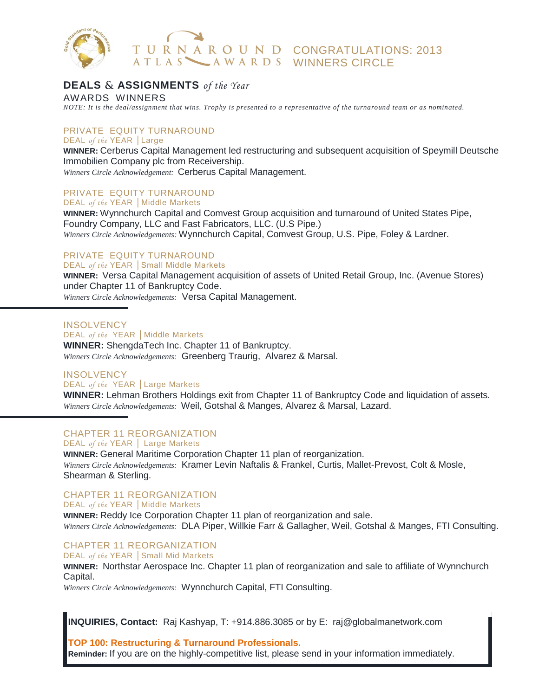

## **DEALS ASSIGNMENTS** *of the Year*

AWARDS WINNERS

*NOTE: It is the deal/assignment that wins. Trophy is presented to a representative of the turnaround team or as nominated.* 

### PRIVATE EQUITY TURNAROUND DEAL *of the* YEAR │Large

**WINNER:** Cerberus Capital Management led restructuring and subsequent acquisition of Speymill Deutsche Immobilien Company plc from Receivership.

*Winners Circle Acknowledgement:* Cerberus Capital Management.

## PRIVATE EQUITY TURNAROUND

DEAL *of the* YEAR │Middle Markets

**WINNER:** Wynnchurch Capital and Comvest Group acquisition and turnaround of United States Pipe, Foundry Company, LLC and Fast Fabricators, LLC. (U.S Pipe.) *Winners Circle Acknowledgements:* Wynnchurch Capital, Comvest Group, U.S. Pipe, Foley & Lardner.

#### PRIVATE EQUITY TURNAROUND DEAL *of the* YEAR │Small Middle Markets

**WINNER:** Versa Capital Management acquisition of assets of United Retail Group, Inc. (Avenue Stores) under Chapter 11 of Bankruptcy Code.

*Winners Circle Acknowledgements:* Versa Capital Management.

**INSOLVENCY** 

DEAL *of the* YEAR | Middle Markets **WINNER:** ShengdaTech Inc. Chapter 11 of Bankruptcy. *Winners Circle Acknowledgements:* Greenberg Traurig, Alvarez & Marsal.

## **INSOLVENCY** DEAL *of the* YEAR │Large Markets

**WINNER:** Lehman Brothers Holdings exit from Chapter 11 of Bankruptcy Code and liquidation of assets. *Winners Circle Acknowledgements:* Weil, Gotshal & Manges, Alvarez & Marsal, Lazard.

#### CHAPTER 11 REORGANIZATION DEAL *of the* YEAR | Large Markets

**WINNER:** General Maritime Corporation Chapter 11 plan of reorganization. *Winners Circle Acknowledgements:* Kramer Levin Naftalis & Frankel, Curtis, Mallet-Prevost, Colt & Mosle, Shearman & Sterling.

## CHAPTER 11 REORGANIZATION

DEAL *of the* YEAR │Middle Markets

**WINNER:** Reddy Ice Corporation Chapter 11 plan of reorganization and sale. *Winners Circle Acknowledgements:* DLA Piper, Willkie Farr & Gallagher, Weil, Gotshal & Manges, FTI Consulting.

#### CHAPTER 11 REORGANIZATION DEAL *of the* YEAR Small Mid Markets

**WINNER:** Northstar Aerospace Inc. Chapter 11 plan of reorganization and sale to affiliate of Wynnchurch Capital.

*Winners Circle Acknowledgements:* Wynnchurch Capital, FTI Consulting.

**INQUIRIES, Contact:** Raj Kashyap, T: +914.886.3085 or by E: raj@globalmanetwork.com

**TOP 100: Restructuring & Turnaround Professionals.** 

**Reminder:** If you are on the highly-competitive list, please send in your information immediately.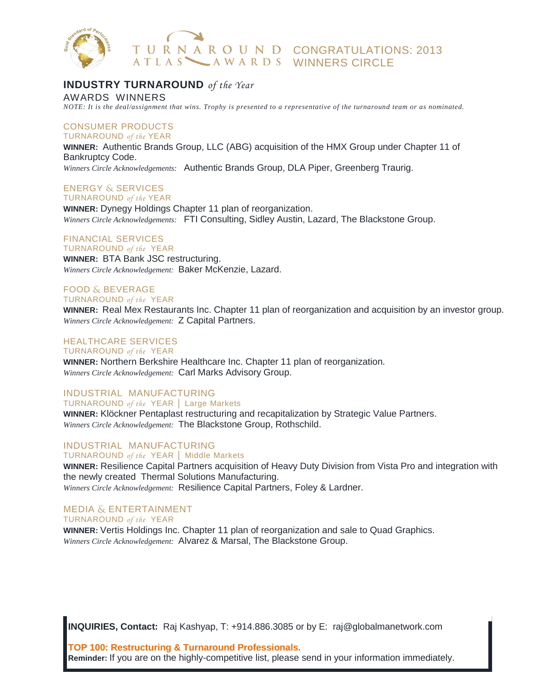

## **INDUSTRY TURNAROUND** *of the Year*

AWARDS WINNERS

*NOTE: It is the deal/assignment that wins. Trophy is presented to a representative of the turnaround team or as nominated.* 

#### CONSUMER PRODUCTS TURNAROUND *of the* YEAR

**WINNER:** Authentic Brands Group, LLC (ABG) acquisition of the HMX Group under Chapter 11 of Bankruptcy Code.

*Winners Circle Acknowledgements:* Authentic Brands Group, DLA Piper, Greenberg Traurig.

## **ENERGY & SERVICES**

TURNAROUND *of the* YEAR **WINNER:** Dynegy Holdings Chapter 11 plan of reorganization. *Winners Circle Acknowledgements:* FTI Consulting, Sidley Austin, Lazard, The Blackstone Group.

## FINANCIAL SERVICES

TURNAROUND *of the* YEAR **WINNER:** BTA Bank JSC restructuring. *Winners Circle Acknowledgement:* Baker McKenzie, Lazard.

#### **FOOD & BEVERAGE** TURNAROUND *of the* YEAR

**WINNER:** Real Mex Restaurants Inc. Chapter 11 plan of reorganization and acquisition by an investor group. *Winners Circle Acknowledgement:* Z Capital Partners.

## HEALTHCARE SERVICES

TURNAROUND *of the* YEAR

**WINNER:** Northern Berkshire Healthcare Inc. Chapter 11 plan of reorganization. *Winners Circle Acknowledgement:* Carl Marks Advisory Group.

## INDUSTRIAL MANUFACTURING

TURNAROUND *of the* YEAR │ Large Markets

**WINNER:** Klöckner Pentaplast restructuring and recapitalization by Strategic Value Partners. *Winners Circle Acknowledgement:* The Blackstone Group, Rothschild.

INDUSTRIAL MANUFACTURING

#### TURNAROUND *of the* YEAR │ Middle Markets

**WINNER:** Resilience Capital Partners acquisition of Heavy Duty Division from Vista Pro and integration with the newly created Thermal Solutions Manufacturing. *Winners Circle Acknowledgement:* Resilience Capital Partners, Foley & Lardner.

## MEDIA & ENTERTAINMENT

TURNAROUND *of the* YEAR **WINNER:** Vertis Holdings Inc. Chapter 11 plan of reorganization and sale to Quad Graphics. *Winners Circle Acknowledgement:* Alvarez & Marsal, The Blackstone Group.

**INQUIRIES, Contact:** Raj Kashyap, T: +914.886.3085 or by E: raj@globalmanetwork.com

**TOP 100: Restructuring & Turnaround Professionals.** 

**Reminder:** If you are on the highly-competitive list, please send in your information immediately.